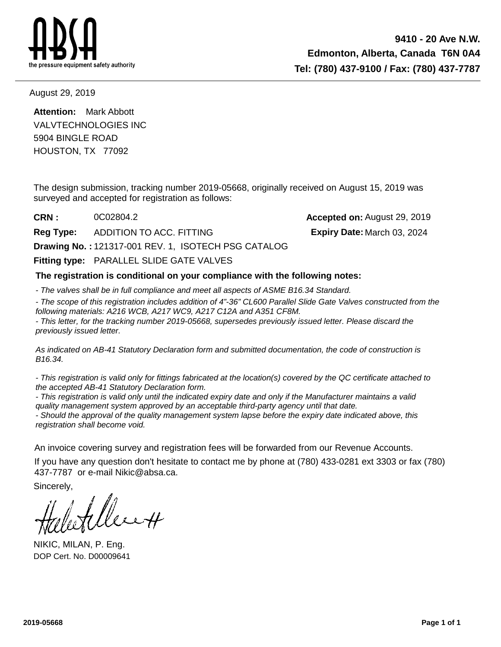

August 29, 2019

HOUSTON, TX 77092 5904 BINGLE ROAD **Attention:** Mark Abbott VALVTECHNOLOGIES INC

The design submission, tracking number 2019-05668, originally received on August 15, 2019 was surveyed and accepted for registration as follows:

**CRN :**

**Reg Type:** ADDITION TO ACC. FITTING

**Drawing No. :** 121317-001 REV. 1, ISOTECH PSG CATALOG

**Fitting type: PARALLEL SLIDE GATE VALVES** 

0C02804.2 **Accepted on:** August 29, 2019 **Expiry Date:**

#### **The registration is conditional on your compliance with the following notes:**

- The valves shall be in full compliance and meet all aspects of ASME B16.34 Standard.

- The scope of this registration includes addition of 4"-36" CL600 Parallel Slide Gate Valves constructed from the following materials: A216 WCB, A217 WC9, A217 C12A and A351 CF8M.

- This letter, for the tracking number 2019-05668, supersedes previously issued letter. Please discard the previously issued letter.

As indicated on AB-41 Statutory Declaration form and submitted documentation, the code of construction is B16.34.

- This registration is valid only for fittings fabricated at the location(s) covered by the QC certificate attached to the accepted AB-41 Statutory Declaration form.

- This registration is valid only until the indicated expiry date and only if the Manufacturer maintains a valid quality management system approved by an acceptable third-party agency until that date.

- Should the approval of the quality management system lapse before the expiry date indicated above, this registration shall become void.

An invoice covering survey and registration fees will be forwarded from our Revenue Accounts.

If you have any question don't hesitate to contact me by phone at (780) 433-0281 ext 3303 or fax (780) 437-7787 or e-mail Nikic@absa.ca.

Sincerely,

NIKIC, MILAN, P. Eng. DOP Cert. No. D00009641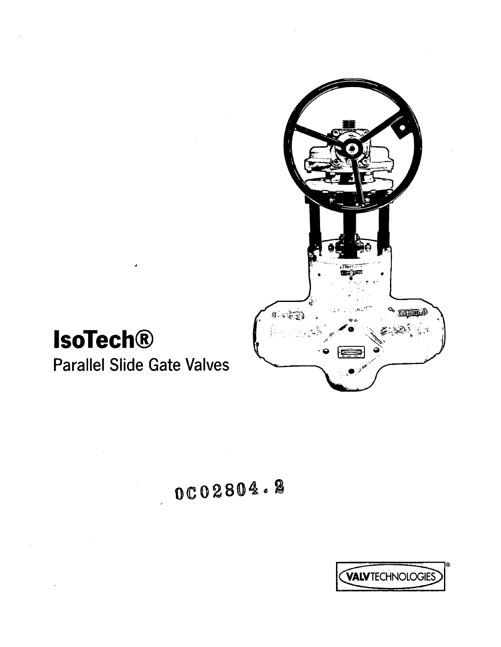

# **IsoTech®**

**Parallel Slide Gate Valves** 

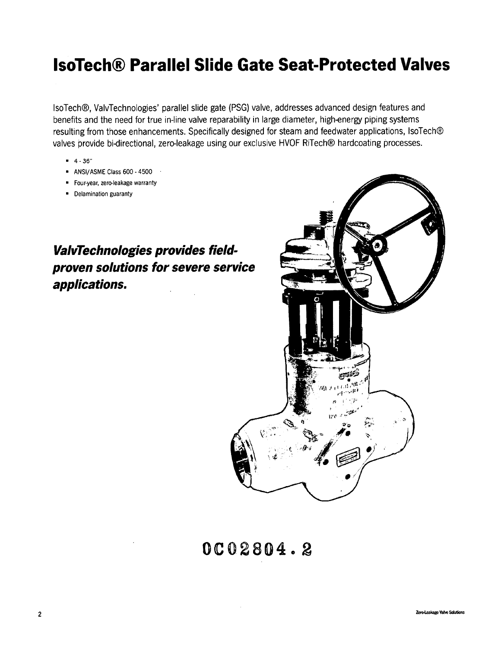# **IsoTech® Parallel Slide Gate Seat-Protected Valves**

IsoTech®, ValvTechnologies' parallel slide gate (PSG) valve, addresses advanced design features and benefits and the need for true in-line valve reparability in large diameter, high-energy piping systems resulting from those enhancements. Specifically designed for steam and feedwater applications, IsoTech® valves provide bi-directional, zero-leakage using our exclusive HVOF RiTech® hardcoating processes.

- $-4.36"$
- ANSI/ASME Class 600 4500
- " Four-year, zero-leakage warranty
- Delamination guaranty

ValvTechnologies provides fieldproven solutions for severe service applications.

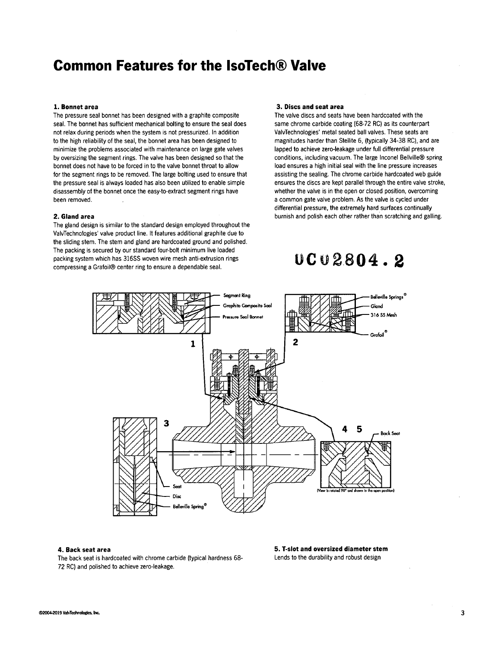### **Common Features for the IsoTech® Valve**

#### 1. Bonnet area

The pressure seal bonnet has been designed with a graphite composite seal. The bonnet has sufficient mechanical bolting to ensure the seal does not relax during periods when the system is not pressurized. In addition to the high reliability of the seal, the bonnet area has been designed to minimize the problems associated with maintenance on large gate valves by oversizing the segment rings. The valve has been designed so that the bonnet does not have to be forced in to the valve bonnet throat to allow for the segment rings to be removed. The large bolting used to ensure that the pressure seal is always loaded has also been utilized to enable simple disassembly of the bonnet once the easy-to-extract segment rings have been removed.

#### 2. Gland area

The gland design is similar to the standard design employed throughout the ValvTechnologies' valve product line. It features additional graphite due to the sliding stem. The stem and gland are hardcoated ground and polished. The packing is secured by our standard four-bolt minimum live loaded packing system which has 316SS woven wire mesh anti-extrusion rings compressing a Grafoil® center ring to ensure a dependable seal.

#### 3. Discs and seat area

The valve discs and seats have been hardcoated with the same chrome carbide coating (68-72 RC) as its counterpart ValvTechnologies' metal seated ball valves. These seats are magnitudes harder than Stellite 6, (typically 34-38 RC), and are lapped to achieve zero-leakage under full differential pressure conditions, including vacuum. The large Inconel Bellville® spring load ensures a high initial seal with the line pressure increases assisting the sealing. The chrome carbide hardcoated web guide ensures the discs are kept parallel through the entire valve stroke, whether the valve is in the open or closed position, overcoming a common gate valve problem. As the valve is cycled under differential pressure, the extremely hard surfaces continually burnish and polish each other rather than scratching and galling.

## UCU2804.2



#### 4. Back seat area

The back seat is hardcoated with chrome carbide (typical hardness 68-72 RC) and polished to achieve zero-leakage.

5. T-slot and oversized diameter stem Lends to the durability and robust design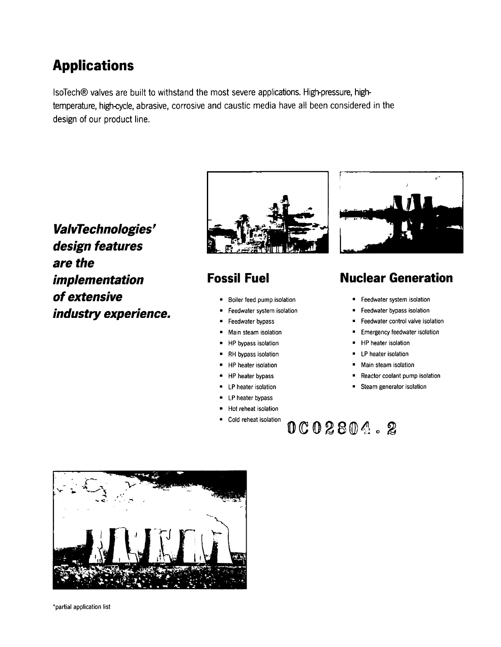## **Applications**

IsoTech® valves are built to withstand the most severe applications. High-pressure, hightemperature, high-cycle, abrasive, corrosive and caustic media have all been considered in the design of our product line.

ValvTechnologies' design features are the implementation of extensive industry experience.



### **Fossil Fuel**

- Boiler feed pump isolation
- Feedwater system isolation
- Feedwater bypass
- Main steam isolation  $\blacksquare$
- HP bypass isolation  $\blacksquare$
- RH bypass isolation  $\bullet$
- HP heater isolation
- HP heater bypass
- LP heater isolation  $\blacksquare$
- LP heater bypass
- Hot reheat isolation
- Cold reheat isolation



### **Nuclear Generation**

- $\blacksquare$ Feedwater system isolation
- Feedwater bypass isolation
- Feedwater control valve isolation
- Emergency feedwater isolation
- $\blacksquare$ HP heater isolation
- LP heater isolation  $\bullet$
- Main steam isolation

- Reactor coolant pump isolation
- Steam generator isolation

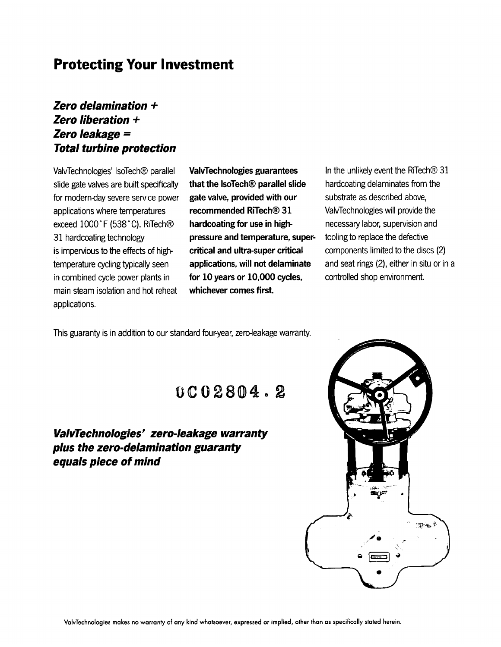### **Protecting Your Investment**

#### Zero delamination + Zero liberation + Zero leakage = **Total turbine protection**

ValvTechnologies' IsoTech® parallel slide gate valves are built specifically for modern-day severe service power applications where temperatures exceed 1000°F (538°C). RiTech® 31 hardcoating technology is impervious to the effects of hightemperature cycling typically seen in combined cycle power plants in main steam isolation and hot reheat applications.

ValvTechnologies guarantees that the IsoTech® parallel slide gate valve, provided with our recommended RiTech® 31 hardcoating for use in highpressure and temperature, supercritical and ultra-super critical applications, will not delaminate for 10 years or 10,000 cycles, whichever comes first.

In the unlikely event the RiTech® 31 hardcoating delaminates from the substrate as described above, ValvTechnologies will provide the necessary labor, supervision and tooling to replace the defective components limited to the discs (2) and seat rings (2), either in situ or in a controlled shop environment.

This guaranty is in addition to our standard four-year, zero-leakage warranty.

0C02804.2

ValvTechnologies' zero-leakage warranty plus the zero-delamination guaranty equals piece of mind

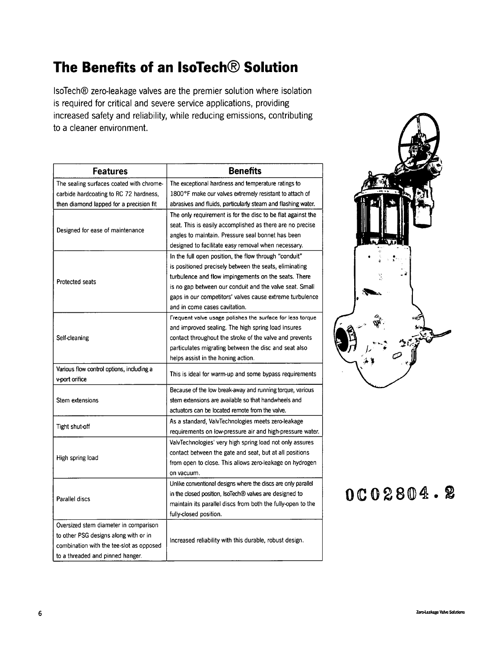## The Benefits of an IsoTech® Solution

IsoTech® zero-leakage valves are the premier solution where isolation is required for critical and severe service applications, providing increased safety and reliability, while reducing emissions, contributing to a cleaner environment.

| <b>Features</b>                           | <b>Benefits</b>                                               |  |
|-------------------------------------------|---------------------------------------------------------------|--|
| The sealing surfaces coated with chrome-  | The exceptional hardness and temperature ratings to           |  |
| carbide hardcoating to RC 72 hardness,    | 1800°F make our valves extremely resistant to attach of       |  |
| then diamond lapped for a precision fit   | abrasives and fluids, particularly steam and flashing water.  |  |
|                                           | The only requirement is for the disc to be flat against the   |  |
| Designed for ease of maintenance          | seat. This is easily accomplished as there are no precise     |  |
|                                           | angles to maintain. Pressure seal bonnet has been             |  |
|                                           | designed to facilitate easy removal when necessary.           |  |
|                                           | In the full open position, the flow through "conduit"         |  |
|                                           | is positioned precisely between the seats, eliminating        |  |
|                                           | turbulence and flow impingements on the seats. There          |  |
| Protected seats                           | is no gap between our conduit and the valve seat. Small       |  |
|                                           | gaps in our competitors' valves cause extreme turbulence      |  |
|                                           | and in come cases cavitation.                                 |  |
|                                           | Frequent valve usage polishes the surface for less torque     |  |
|                                           | and improved sealing. The high spring load insures            |  |
| Self-cleaning                             | contact throughout the stroke of the valve and prevents       |  |
|                                           | particulates migrating between the disc and seat also         |  |
|                                           | helps assist in the honing action.                            |  |
| Various flow control options, including a | This is ideal for warm-up and some bypass requirements        |  |
| v-port orifice                            |                                                               |  |
|                                           | Because of the low break-away and running torque, various     |  |
| Stem extensions                           | stem extensions are available so that handwheels and          |  |
|                                           | actuators can be located remote from the valve.               |  |
| Tight shut-off                            | As a standard, ValvTechnologies meets zero-leakage            |  |
|                                           | requirements on low-pressure air and high-pressure water.     |  |
| High spring load                          | ValvTechnologies' very high spring load not only assures      |  |
|                                           | contact between the gate and seat, but at all positions       |  |
|                                           | from open to close. This allows zero-leakage on hydrogen      |  |
|                                           | on vacuum.                                                    |  |
|                                           | Unlike conventional designs where the discs are only parallel |  |
| Parallel discs                            | in the closed position, IsoTech® valves are designed to       |  |
|                                           | maintain its parallel discs from both the fully-open to the   |  |
|                                           | fully-closed position.                                        |  |
| Oversized stem diameter in comparison     |                                                               |  |
| to other PSG designs along with or in     | Increased reliability with this durable, robust design.       |  |
| combination with the tee-slot as opposed  |                                                               |  |
| to a threaded and ninned hanger.          |                                                               |  |

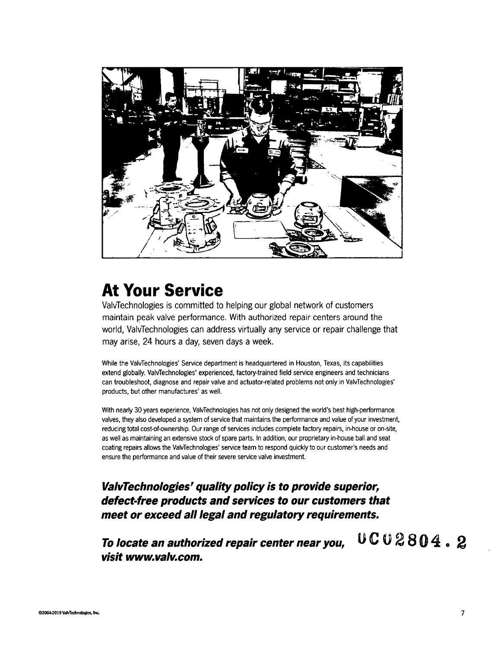

# **At Your Service**

ValvTechnologies is committed to helping our global network of customers maintain peak valve performance. With authorized repair centers around the world, ValvTechnologies can address virtually any service or repair challenge that may arise, 24 hours a day, seven days a week.

While the ValvTechnologies' Service department is headquartered in Houston, Texas, its capabilities extend globally. ValvTechnologies' experienced, factory-trained field service engineers and technicians can troubleshoot, diagnose and repair valve and actuator-related problems not only in ValvTechnologies' products, but other manufactures' as well.

With nearly 30 years experience, ValvTechnologies has not only designed the world's best high-performance valves, they also developed a system of service that maintains the performance and value of your investment, reducing total cost-of-ownership. Our range of services includes complete factory repairs, in-house or on-site, as well as maintaining an extensive stock of spare parts. In addition, our proprietary in-house ball and seat coating repairs allows the ValvTechnologies' service team to respond quickly to our customer's needs and ensure the performance and value of their severe service valve investment.

ValvTechnologies' quality policy is to provide superior, defect-free products and services to our customers that meet or exceed all legal and regulatory requirements.

UC02804.2 To locate an authorized repair center near you, visit www.valv.com.